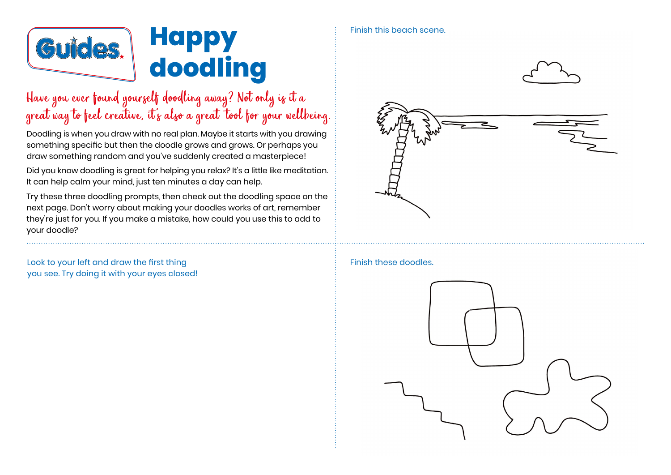

## **Happy doodling**

## Have you ever found yourself doodling away? Not only is it a wave you ever fourin you seef googing away: woo oncy cs a a<br>great way to feel creative, it's also a great "tool for your wellbeing.

Doodling is when you draw with no real plan. Maybe it starts with you drawing something specific but then the doodle grows and grows. Or perhaps you draw something random and you've suddenly created a masterpiece!

Did you know doodling is great for helping you relax? It's a little like meditation. It can help calm your mind, just ten minutes a day can help.

Try these three doodling prompts, then check out the doodling space on the next page. Don't worry about making your doodles works of art, remember they're just for you. If you make a mistake, how could you use this to add to your doodle?

Look to your left and draw the first thing you see. Try doing it with your eyes closed!

## Finish these doodles.



Finish this beach scene.